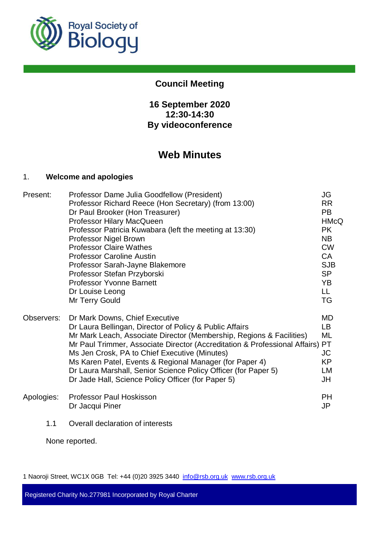

## **Council Meeting**

## **16 September 2020 12:30-14:30 By videoconference**

# **Web Minutes**

#### 1. **Welcome and apologies**

| Present:   | Professor Dame Julia Goodfellow (President)                                   | JG          |
|------------|-------------------------------------------------------------------------------|-------------|
|            | Professor Richard Reece (Hon Secretary) (from 13:00)                          | <b>RR</b>   |
|            | Dr Paul Brooker (Hon Treasurer)                                               | <b>PB</b>   |
|            | Professor Hilary MacQueen                                                     | <b>HMcQ</b> |
|            | Professor Patricia Kuwabara (left the meeting at 13:30)                       | <b>PK</b>   |
|            | Professor Nigel Brown                                                         | <b>NB</b>   |
|            | <b>Professor Claire Wathes</b>                                                | <b>CW</b>   |
|            | <b>Professor Caroline Austin</b>                                              | <b>CA</b>   |
|            | Professor Sarah-Jayne Blakemore                                               | <b>SJB</b>  |
|            | Professor Stefan Przyborski                                                   | <b>SP</b>   |
|            | <b>Professor Yvonne Barnett</b>                                               | YB          |
|            | Dr Louise Leong                                                               | LL.         |
|            | Mr Terry Gould                                                                | TG          |
| Observers: | Dr Mark Downs, Chief Executive                                                | MD          |
|            | Dr Laura Bellingan, Director of Policy & Public Affairs                       | LB.         |
|            | Mr Mark Leach, Associate Director (Membership, Regions & Facilities)          | ML          |
|            | Mr Paul Trimmer, Associate Director (Accreditation & Professional Affairs) PT |             |
|            | Ms Jen Crosk, PA to Chief Executive (Minutes)                                 | JC          |
|            | Ms Karen Patel, Events & Regional Manager (for Paper 4)                       | KP          |
|            | Dr Laura Marshall, Senior Science Policy Officer (for Paper 5)                | LM          |
|            | Dr Jade Hall, Science Policy Officer (for Paper 5)                            | JH          |
| Apologies: | <b>Professor Paul Hoskisson</b>                                               | <b>PH</b>   |
|            | Dr Jacqui Piner                                                               | JP          |
| 44         | Quarall declaration of interests                                              |             |

1.1 Overall declaration of interests

None reported.

1 Naoroji Street, WC1X 0GB Tel: +44 (0)20 3925 3440 info@rsb.org.uk www.rsb.org.uk

Registered Charity No.277981 Incorporated by Royal Charter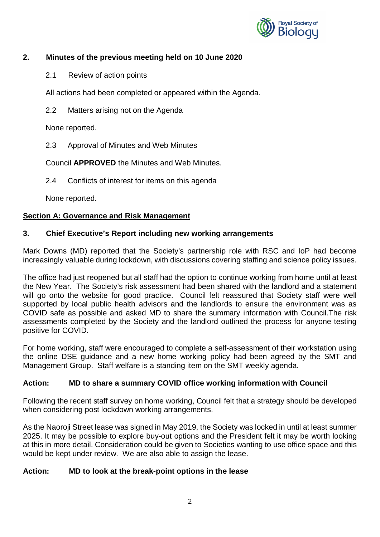

## **2. Minutes of the previous meeting held on 10 June 2020**

2.1 Review of action points

All actions had been completed or appeared within the Agenda.

2.2 Matters arising not on the Agenda

None reported.

2.3 Approval of Minutes and Web Minutes

Council **APPROVED** the Minutes and Web Minutes.

2.4 Conflicts of interest for items on this agenda

None reported.

#### **Section A: Governance and Risk Management**

#### **3. Chief Executive's Report including new working arrangements**

Mark Downs (MD) reported that the Society's partnership role with RSC and IoP had become increasingly valuable during lockdown, with discussions covering staffing and science policy issues.

The office had just reopened but all staff had the option to continue working from home until at least the New Year. The Society's risk assessment had been shared with the landlord and a statement will go onto the website for good practice. Council felt reassured that Society staff were well supported by local public health advisors and the landlords to ensure the environment was as COVID safe as possible and asked MD to share the summary information with Council.The risk assessments completed by the Society and the landlord outlined the process for anyone testing positive for COVID.

For home working, staff were encouraged to complete a self-assessment of their workstation using the online DSE guidance and a new home working policy had been agreed by the SMT and Management Group. Staff welfare is a standing item on the SMT weekly agenda.

## **Action: MD to share a summary COVID office working information with Council**

Following the recent staff survey on home working, Council felt that a strategy should be developed when considering post lockdown working arrangements.

As the Naoroji Street lease was signed in May 2019, the Society was locked in until at least summer 2025. It may be possible to explore buy-out options and the President felt it may be worth looking at this in more detail. Consideration could be given to Societies wanting to use office space and this would be kept under review. We are also able to assign the lease.

#### **Action: MD to look at the break-point options in the lease**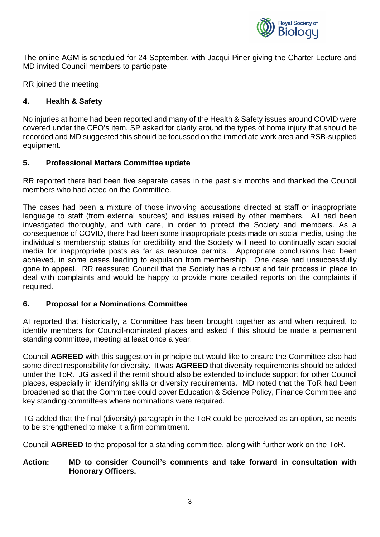

The online AGM is scheduled for 24 September, with Jacqui Piner giving the Charter Lecture and MD invited Council members to participate.

RR joined the meeting.

## **4. Health & Safety**

No injuries at home had been reported and many of the Health & Safety issues around COVID were covered under the CEO's item. SP asked for clarity around the types of home injury that should be recorded and MD suggested this should be focussed on the immediate work area and RSB-supplied equipment.

#### **5. Professional Matters Committee update**

RR reported there had been five separate cases in the past six months and thanked the Council members who had acted on the Committee.

The cases had been a mixture of those involving accusations directed at staff or inappropriate language to staff (from external sources) and issues raised by other members. All had been investigated thoroughly, and with care, in order to protect the Society and members. As a consequence of COVID, there had been some inappropriate posts made on social media, using the individual's membership status for credibility and the Society will need to continually scan social media for inappropriate posts as far as resource permits. Appropriate conclusions had been achieved, in some cases leading to expulsion from membership. One case had unsuccessfully gone to appeal. RR reassured Council that the Society has a robust and fair process in place to deal with complaints and would be happy to provide more detailed reports on the complaints if required.

#### **6. Proposal for a Nominations Committee**

AI reported that historically, a Committee has been brought together as and when required, to identify members for Council-nominated places and asked if this should be made a permanent standing committee, meeting at least once a year.

Council **AGREED** with this suggestion in principle but would like to ensure the Committee also had some direct responsibility for diversity. It was **AGREED** that diversity requirements should be added under the ToR. JG asked if the remit should also be extended to include support for other Council places, especially in identifying skills or diversity requirements. MD noted that the ToR had been broadened so that the Committee could cover Education & Science Policy, Finance Committee and key standing committees where nominations were required.

TG added that the final (diversity) paragraph in the ToR could be perceived as an option, so needs to be strengthened to make it a firm commitment.

Council **AGREED** to the proposal for a standing committee, along with further work on the ToR.

#### **Action: MD to consider Council's comments and take forward in consultation with Honorary Officers.**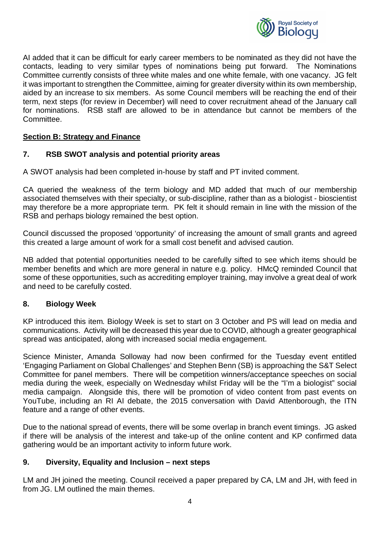

AI added that it can be difficult for early career members to be nominated as they did not have the contacts, leading to very similar types of nominations being put forward. The Nominations Committee currently consists of three white males and one white female, with one vacancy. JG felt it was important to strengthen the Committee, aiming for greater diversity within its own membership, aided by an increase to six members. As some Council members will be reaching the end of their term, next steps (for review in December) will need to cover recruitment ahead of the January call for nominations. RSB staff are allowed to be in attendance but cannot be members of the Committee.

#### **Section B: Strategy and Finance**

#### **7. RSB SWOT analysis and potential priority areas**

A SWOT analysis had been completed in-house by staff and PT invited comment.

CA queried the weakness of the term biology and MD added that much of our membership associated themselves with their specialty, or sub-discipline, rather than as a biologist - bioscientist may therefore be a more appropriate term. PK felt it should remain in line with the mission of the RSB and perhaps biology remained the best option.

Council discussed the proposed 'opportunity' of increasing the amount of small grants and agreed this created a large amount of work for a small cost benefit and advised caution.

NB added that potential opportunities needed to be carefully sifted to see which items should be member benefits and which are more general in nature e.g. policy. HMcQ reminded Council that some of these opportunities, such as accrediting employer training, may involve a great deal of work and need to be carefully costed.

#### **8. Biology Week**

KP introduced this item. Biology Week is set to start on 3 October and PS will lead on media and communications. Activity will be decreased this year due to COVID, although a greater geographical spread was anticipated, along with increased social media engagement.

Science Minister, Amanda Solloway had now been confirmed for the Tuesday event entitled 'Engaging Parliament on Global Challenges' and Stephen Benn (SB) is approaching the S&T Select Committee for panel members. There will be competition winners/acceptance speeches on social media during the week, especially on Wednesday whilst Friday will be the "I'm a biologist" social media campaign. Alongside this, there will be promotion of video content from past events on YouTube, including an RI AI debate, the 2015 conversation with David Attenborough, the ITN feature and a range of other events.

Due to the national spread of events, there will be some overlap in branch event timings. JG asked if there will be analysis of the interest and take-up of the online content and KP confirmed data gathering would be an important activity to inform future work.

#### **9. Diversity, Equality and Inclusion – next steps**

LM and JH joined the meeting. Council received a paper prepared by CA, LM and JH, with feed in from JG. LM outlined the main themes.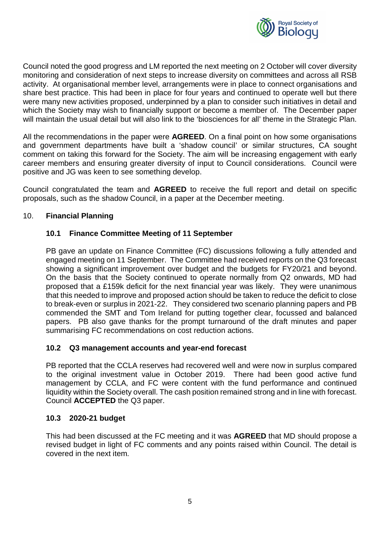

Council noted the good progress and LM reported the next meeting on 2 October will cover diversity monitoring and consideration of next steps to increase diversity on committees and across all RSB activity. At organisational member level, arrangements were in place to connect organisations and share best practice. This had been in place for four years and continued to operate well but there were many new activities proposed, underpinned by a plan to consider such initiatives in detail and which the Society may wish to financially support or become a member of. The December paper will maintain the usual detail but will also link to the 'biosciences for all' theme in the Strategic Plan.

All the recommendations in the paper were **AGREED**. On a final point on how some organisations and government departments have built a 'shadow council' or similar structures, CA sought comment on taking this forward for the Society. The aim will be increasing engagement with early career members and ensuring greater diversity of input to Council considerations. Council were positive and JG was keen to see something develop.

Council congratulated the team and **AGREED** to receive the full report and detail on specific proposals, such as the shadow Council, in a paper at the December meeting.

#### 10. **Financial Planning**

## **10.1 Finance Committee Meeting of 11 September**

PB gave an update on Finance Committee (FC) discussions following a fully attended and engaged meeting on 11 September. The Committee had received reports on the Q3 forecast showing a significant improvement over budget and the budgets for FY20/21 and beyond. On the basis that the Society continued to operate normally from Q2 onwards, MD had proposed that a £159k deficit for the next financial year was likely. They were unanimous that this needed to improve and proposed action should be taken to reduce the deficit to close to break-even or surplus in 2021-22. They considered two scenario planning papers and PB commended the SMT and Tom Ireland for putting together clear, focussed and balanced papers. PB also gave thanks for the prompt turnaround of the draft minutes and paper summarising FC recommendations on cost reduction actions.

#### **10.2 Q3 management accounts and year-end forecast**

PB reported that the CCLA reserves had recovered well and were now in surplus compared to the original investment value in October 2019. There had been good active fund management by CCLA, and FC were content with the fund performance and continued liquidity within the Society overall. The cash position remained strong and in line with forecast. Council **ACCEPTED** the Q3 paper.

#### **10.3 2020-21 budget**

This had been discussed at the FC meeting and it was **AGREED** that MD should propose a revised budget in light of FC comments and any points raised within Council. The detail is covered in the next item.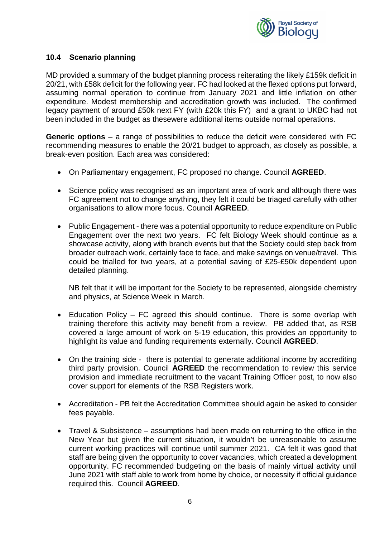

#### **10.4 Scenario planning**

MD provided a summary of the budget planning process reiterating the likely £159k deficit in 20/21, with £58k deficit for the following year. FC had looked at the flexed options put forward, assuming normal operation to continue from January 2021 and little inflation on other expenditure. Modest membership and accreditation growth was included. The confirmed legacy payment of around £50k next FY (with £20k this FY) and a grant to UKBC had not been included in the budget as thesewere additional items outside normal operations.

**Generic options** – a range of possibilities to reduce the deficit were considered with FC recommending measures to enable the 20/21 budget to approach, as closely as possible, a break-even position. Each area was considered:

- · On Parliamentary engagement, FC proposed no change. Council **AGREED**.
- · Science policy was recognised as an important area of work and although there was FC agreement not to change anything, they felt it could be triaged carefully with other organisations to allow more focus. Council **AGREED**.
- · Public Engagement there was a potential opportunity to reduce expenditure on Public Engagement over the next two years. FC felt Biology Week should continue as a showcase activity, along with branch events but that the Society could step back from broader outreach work, certainly face to face, and make savings on venue/travel. This could be trialled for two years, at a potential saving of £25-£50k dependent upon detailed planning.

NB felt that it will be important for the Society to be represented, alongside chemistry and physics, at Science Week in March.

- Education Policy FC agreed this should continue. There is some overlap with training therefore this activity may benefit from a review. PB added that, as RSB covered a large amount of work on 5-19 education, this provides an opportunity to highlight its value and funding requirements externally. Council **AGREED**.
- On the training side there is potential to generate additional income by accrediting third party provision. Council **AGREED** the recommendation to review this service provision and immediate recruitment to the vacant Training Officer post, to now also cover support for elements of the RSB Registers work.
- · Accreditation PB felt the Accreditation Committee should again be asked to consider fees payable.
- · Travel & Subsistence assumptions had been made on returning to the office in the New Year but given the current situation, it wouldn't be unreasonable to assume current working practices will continue until summer 2021. CA felt it was good that staff are being given the opportunity to cover vacancies, which created a development opportunity. FC recommended budgeting on the basis of mainly virtual activity until June 2021 with staff able to work from home by choice, or necessity if official guidance required this. Council **AGREED**.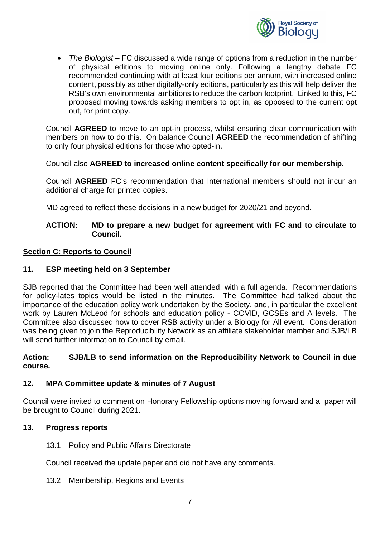

· *The Biologist* – FC discussed a wide range of options from a reduction in the number of physical editions to moving online only. Following a lengthy debate FC recommended continuing with at least four editions per annum, with increased online content, possibly as other digitally-only editions, particularly as this will help deliver the RSB's own environmental ambitions to reduce the carbon footprint. Linked to this, FC proposed moving towards asking members to opt in, as opposed to the current opt out, for print copy.

Council **AGREED** to move to an opt-in process, whilst ensuring clear communication with members on how to do this. On balance Council **AGREED** the recommendation of shifting to only four physical editions for those who opted-in.

Council also **AGREED to increased online content specifically for our membership.**

Council **AGREED** FC's recommendation that International members should not incur an additional charge for printed copies.

MD agreed to reflect these decisions in a new budget for 2020/21 and beyond.

#### **ACTION: MD to prepare a new budget for agreement with FC and to circulate to Council.**

#### **Section C: Reports to Council**

#### **11. ESP meeting held on 3 September**

SJB reported that the Committee had been well attended, with a full agenda. Recommendations for policy-lates topics would be listed in the minutes. The Committee had talked about the importance of the education policy work undertaken by the Society, and, in particular the excellent work by Lauren McLeod for schools and education policy - COVID, GCSEs and A levels. The Committee also discussed how to cover RSB activity under a Biology for All event. Consideration was being given to join the Reproducibility Network as an affiliate stakeholder member and SJB/LB will send further information to Council by email.

#### **Action: SJB/LB to send information on the Reproducibility Network to Council in due course.**

#### **12. MPA Committee update & minutes of 7 August**

Council were invited to comment on Honorary Fellowship options moving forward and a paper will be brought to Council during 2021.

#### **13. Progress reports**

13.1 Policy and Public Affairs Directorate

Council received the update paper and did not have any comments.

13.2 Membership, Regions and Events